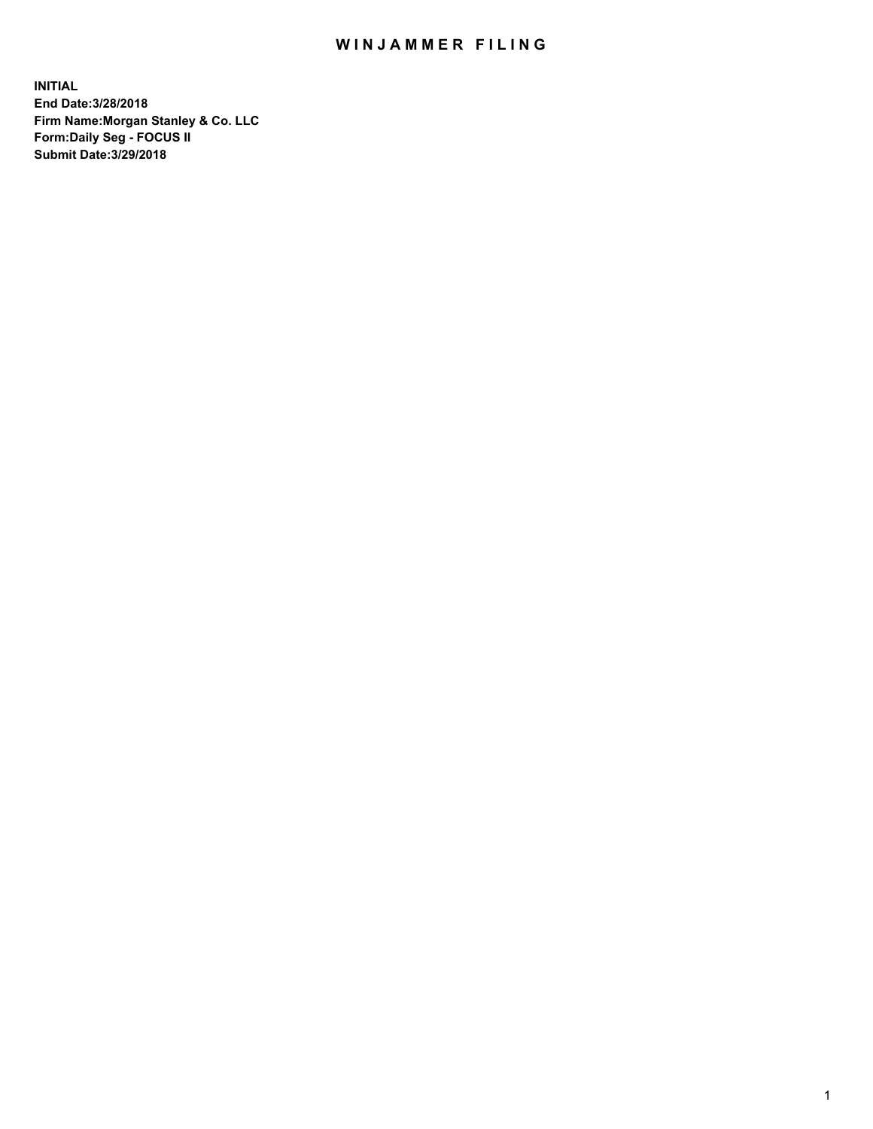## WIN JAMMER FILING

**INITIAL End Date:3/28/2018 Firm Name:Morgan Stanley & Co. LLC Form:Daily Seg - FOCUS II Submit Date:3/29/2018**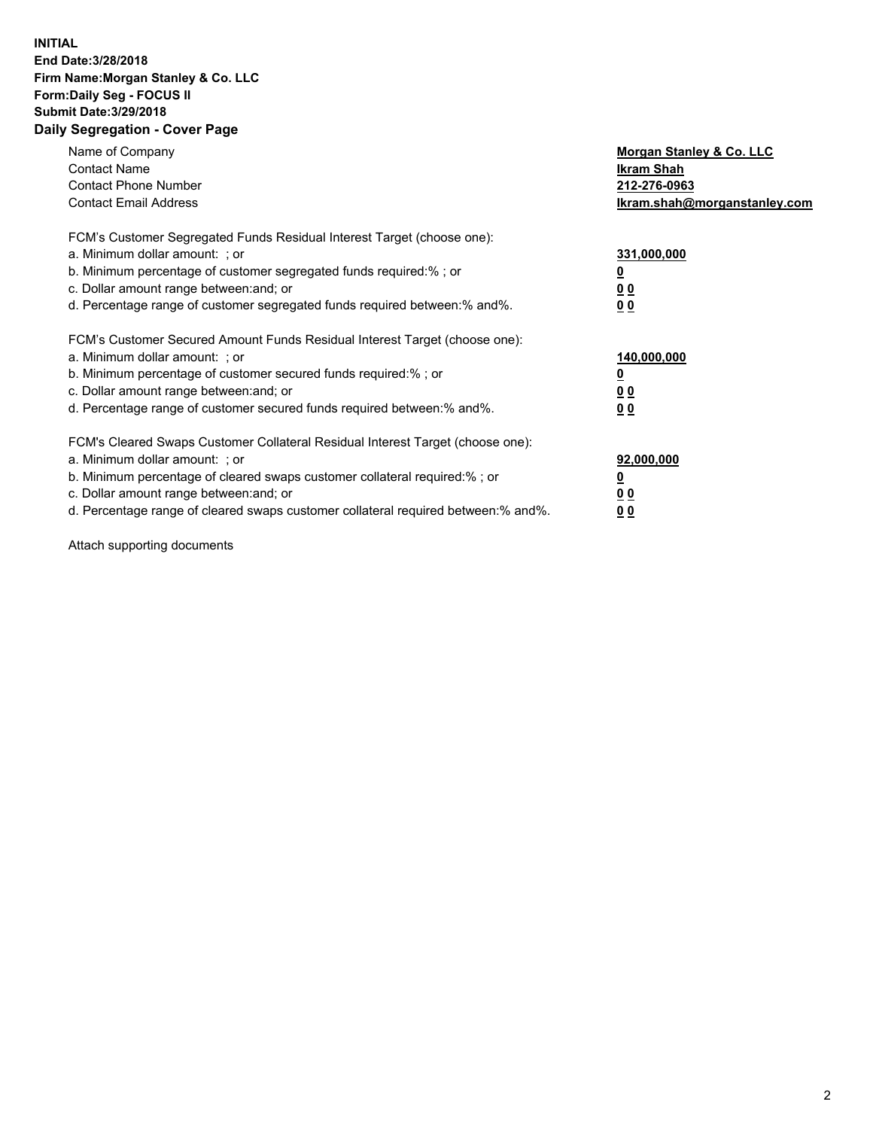## **INITIAL End Date:3/28/2018 Firm Name:Morgan Stanley & Co. LLC Form:Daily Seg - FOCUS II Submit Date:3/29/2018 Daily Segregation - Cover Page**

| Name of Company<br><b>Contact Name</b><br><b>Contact Phone Number</b><br><b>Contact Email Address</b>                                                                                                                                                                                                                          | Morgan Stanley & Co. LLC<br>Ikram Shah<br>212-276-0963<br>lkram.shah@morganstanley.com |
|--------------------------------------------------------------------------------------------------------------------------------------------------------------------------------------------------------------------------------------------------------------------------------------------------------------------------------|----------------------------------------------------------------------------------------|
| FCM's Customer Segregated Funds Residual Interest Target (choose one):<br>a. Minimum dollar amount: ; or<br>b. Minimum percentage of customer segregated funds required:%; or<br>c. Dollar amount range between: and; or<br>d. Percentage range of customer segregated funds required between:% and%.                          | 331,000,000<br><u>0</u><br>0 <sub>0</sub><br>00                                        |
| FCM's Customer Secured Amount Funds Residual Interest Target (choose one):<br>a. Minimum dollar amount: ; or<br>b. Minimum percentage of customer secured funds required: %; or<br>c. Dollar amount range between: and; or<br>d. Percentage range of customer secured funds required between:% and%.                           | 140,000,000<br>0 <sub>0</sub><br>0 <sub>0</sub>                                        |
| FCM's Cleared Swaps Customer Collateral Residual Interest Target (choose one):<br>a. Minimum dollar amount: ; or<br>b. Minimum percentage of cleared swaps customer collateral required:% ; or<br>c. Dollar amount range between: and; or<br>d. Percentage range of cleared swaps customer collateral required between:% and%. | 92,000,000<br>0 <sub>0</sub><br><u>00</u>                                              |

Attach supporting documents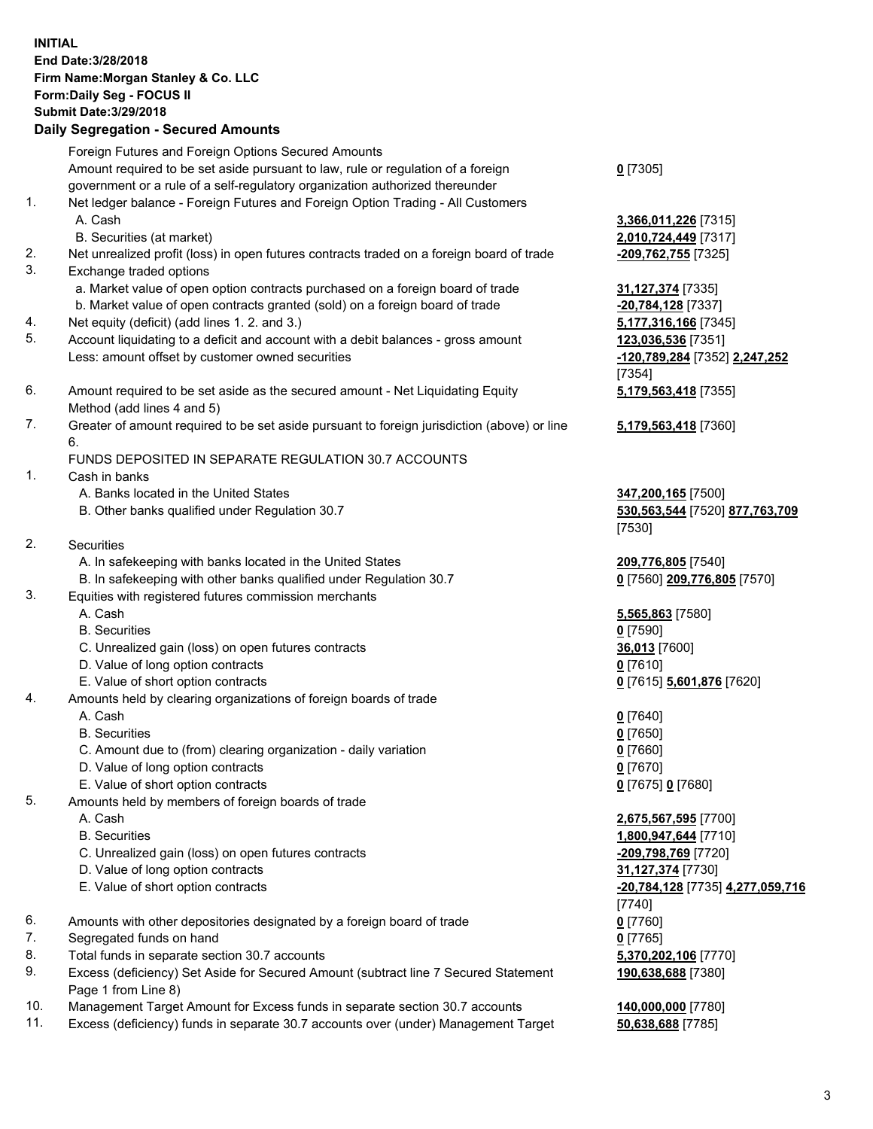## **INITIAL End Date:3/28/2018 Firm Name:Morgan Stanley & Co. LLC Form:Daily Seg - FOCUS II Submit Date:3/29/2018 Daily Segregation - Secured Amounts**

Foreign Futures and Foreign Options Secured Amounts Amount required to be set aside pursuant to law, rule or regulation of a foreign

- government or a rule of a self-regulatory organization authorized thereunder
- 1. Net ledger balance Foreign Futures and Foreign Option Trading All Customers A. Cash **3,366,011,226** [7315]
	- B. Securities (at market) **2,010,724,449** [7317]
- 2. Net unrealized profit (loss) in open futures contracts traded on a foreign board of trade **-209,762,755** [7325]
- 3. Exchange traded options
	- a. Market value of open option contracts purchased on a foreign board of trade **31,127,374** [7335]
	- b. Market value of open contracts granted (sold) on a foreign board of trade **-20,784,128** [7337]
- 4. Net equity (deficit) (add lines 1. 2. and 3.) **5,177,316,166** [7345]
- 5. Account liquidating to a deficit and account with a debit balances gross amount **123,036,536** [7351] Less: amount offset by customer owned securities **-120,789,284** [7352] **2,247,252**
- 6. Amount required to be set aside as the secured amount Net Liquidating Equity Method (add lines 4 and 5)
- 7. Greater of amount required to be set aside pursuant to foreign jurisdiction (above) or line 6.

## FUNDS DEPOSITED IN SEPARATE REGULATION 30.7 ACCOUNTS

- 1. Cash in banks
	- A. Banks located in the United States **347,200,165** [7500]
	- B. Other banks qualified under Regulation 30.7 **530,563,544** [7520] **877,763,709**
- 2. Securities
	- A. In safekeeping with banks located in the United States **209,776,805** [7540]
	- B. In safekeeping with other banks qualified under Regulation 30.7 **0** [7560] **209,776,805** [7570]
- 3. Equities with registered futures commission merchants
	-
	-
	- C. Unrealized gain (loss) on open futures contracts **36,013** [7600]
	- D. Value of long option contracts **0** [7610]
- E. Value of short option contracts **0** [7615] **5,601,876** [7620]
- 4. Amounts held by clearing organizations of foreign boards of trade
	-
	-
	- C. Amount due to (from) clearing organization daily variation **0** [7660]
	- D. Value of long option contracts **0** [7670]
	- E. Value of short option contracts **0** [7675] **0** [7680]
- 5. Amounts held by members of foreign boards of trade
	-
	-
	- C. Unrealized gain (loss) on open futures contracts **-209,798,769** [7720]
	- D. Value of long option contracts **31,127,374** [7730]
	- E. Value of short option contracts **-20,784,128** [7735] **4,277,059,716**
- 6. Amounts with other depositories designated by a foreign board of trade **0** [7760]
- 7. Segregated funds on hand **0** [7765]
- 8. Total funds in separate section 30.7 accounts **5,370,202,106** [7770]
- 9. Excess (deficiency) Set Aside for Secured Amount (subtract line 7 Secured Statement Page 1 from Line 8)
- 10. Management Target Amount for Excess funds in separate section 30.7 accounts **140,000,000** [7780]
- 11. Excess (deficiency) funds in separate 30.7 accounts over (under) Management Target **50,638,688** [7785]

|  | <u>0</u> [7305] |  |
|--|-----------------|--|
|--|-----------------|--|

[7354] **5,179,563,418** [7355]

**5,179,563,418** [7360]

[7530]

 A. Cash **5,565,863** [7580] B. Securities **0** [7590]

 A. Cash **0** [7640] B. Securities **0** [7650]

 A. Cash **2,675,567,595** [7700] B. Securities **1,800,947,644** [7710] [7740] **190,638,688** [7380]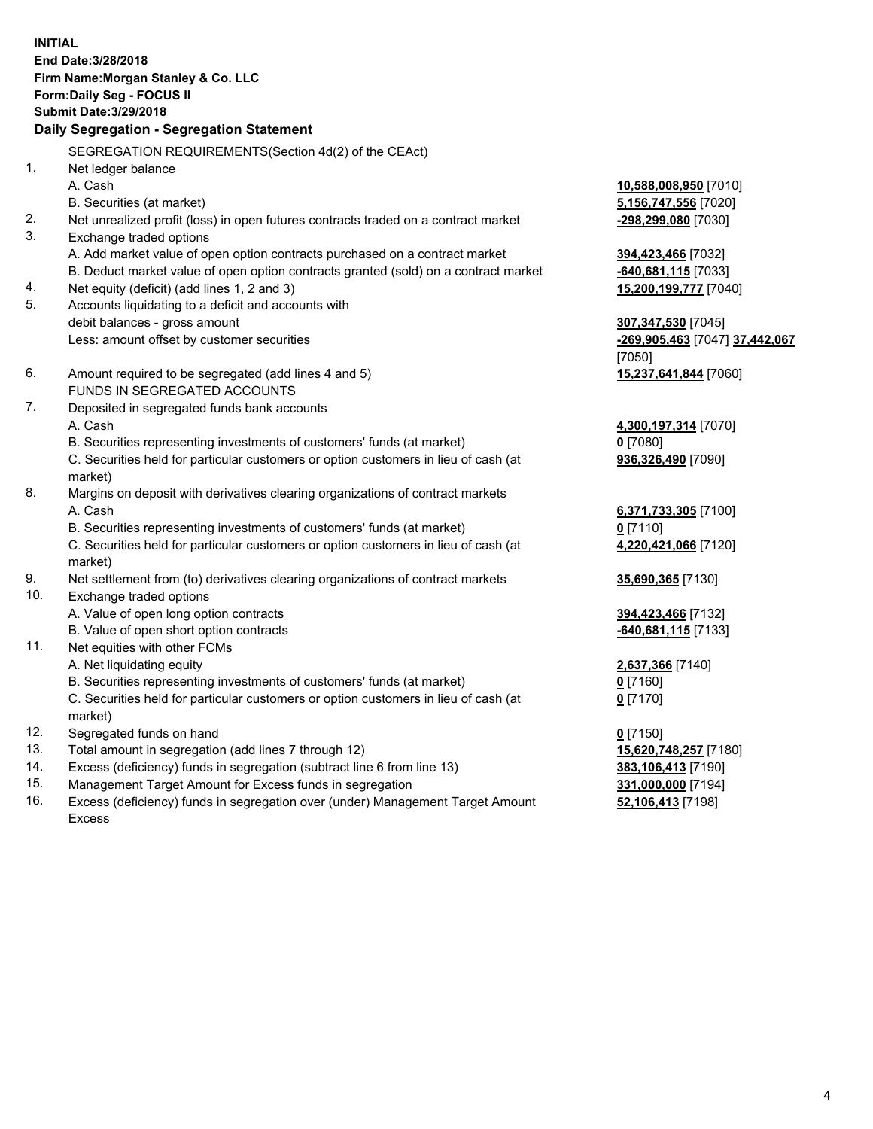**INITIAL End Date:3/28/2018 Firm Name:Morgan Stanley & Co. LLC Form:Daily Seg - FOCUS II Submit Date:3/29/2018 Daily Segregation - Segregation Statement** SEGREGATION REQUIREMENTS(Section 4d(2) of the CEAct) 1. Net ledger balance A. Cash **10,588,008,950** [7010] B. Securities (at market) **5,156,747,556** [7020] 2. Net unrealized profit (loss) in open futures contracts traded on a contract market **-298,299,080** [7030] 3. Exchange traded options A. Add market value of open option contracts purchased on a contract market **394,423,466** [7032] B. Deduct market value of open option contracts granted (sold) on a contract market **-640,681,115** [7033] 4. Net equity (deficit) (add lines 1, 2 and 3) **15,200,199,777** [7040] 5. Accounts liquidating to a deficit and accounts with debit balances - gross amount **307,347,530** [7045] Less: amount offset by customer securities **-269,905,463** [7047] **37,442,067** [7050] 6. Amount required to be segregated (add lines 4 and 5) **15,237,641,844** [7060] FUNDS IN SEGREGATED ACCOUNTS 7. Deposited in segregated funds bank accounts A. Cash **4,300,197,314** [7070] B. Securities representing investments of customers' funds (at market) **0** [7080] C. Securities held for particular customers or option customers in lieu of cash (at market) **936,326,490** [7090] 8. Margins on deposit with derivatives clearing organizations of contract markets A. Cash **6,371,733,305** [7100] B. Securities representing investments of customers' funds (at market) **0** [7110] C. Securities held for particular customers or option customers in lieu of cash (at market) **4,220,421,066** [7120] 9. Net settlement from (to) derivatives clearing organizations of contract markets **35,690,365** [7130] 10. Exchange traded options A. Value of open long option contracts **394,423,466** [7132] B. Value of open short option contracts **-640,681,115** [7133] 11. Net equities with other FCMs A. Net liquidating equity **2,637,366** [7140] B. Securities representing investments of customers' funds (at market) **0** [7160] C. Securities held for particular customers or option customers in lieu of cash (at market) **0** [7170] 12. Segregated funds on hand **0** [7150] 13. Total amount in segregation (add lines 7 through 12) **15,620,748,257** [7180] 14. Excess (deficiency) funds in segregation (subtract line 6 from line 13) **383,106,413** [7190]

- 15. Management Target Amount for Excess funds in segregation **331,000,000** [7194]
- 16. Excess (deficiency) funds in segregation over (under) Management Target Amount Excess

**52,106,413** [7198]